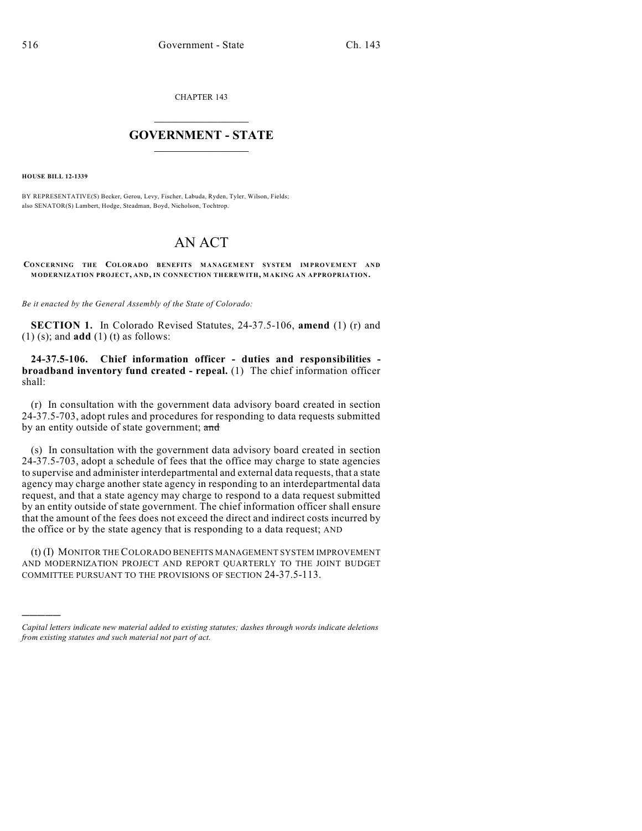CHAPTER 143

## $\overline{\phantom{a}}$  . The set of the set of the set of the set of the set of the set of the set of the set of the set of the set of the set of the set of the set of the set of the set of the set of the set of the set of the set o **GOVERNMENT - STATE**  $\_$

**HOUSE BILL 12-1339**

)))))

BY REPRESENTATIVE(S) Becker, Gerou, Levy, Fischer, Labuda, Ryden, Tyler, Wilson, Fields; also SENATOR(S) Lambert, Hodge, Steadman, Boyd, Nicholson, Tochtrop.

## AN ACT

**CONCERNING THE COLORADO BENEFITS MANAGEMENT SYSTEM IM PROVEMENT AND MODERNIZATION PROJECT, AND, IN CONNECTION THEREWITH, MAKING AN APPROPRIATION.**

*Be it enacted by the General Assembly of the State of Colorado:*

**SECTION 1.** In Colorado Revised Statutes, 24-37.5-106, **amend** (1) (r) and (1) (s); and **add** (1) (t) as follows:

**24-37.5-106. Chief information officer - duties and responsibilities broadband inventory fund created - repeal.** (1) The chief information officer shall:

(r) In consultation with the government data advisory board created in section 24-37.5-703, adopt rules and procedures for responding to data requests submitted by an entity outside of state government; and

(s) In consultation with the government data advisory board created in section 24-37.5-703, adopt a schedule of fees that the office may charge to state agencies to supervise and administer interdepartmental and external data requests, that a state agency may charge another state agency in responding to an interdepartmental data request, and that a state agency may charge to respond to a data request submitted by an entity outside of state government. The chief information officer shall ensure that the amount of the fees does not exceed the direct and indirect costs incurred by the office or by the state agency that is responding to a data request; AND

(t) (I) MONITOR THECOLORADO BENEFITS MANAGEMENT SYSTEM IMPROVEMENT AND MODERNIZATION PROJECT AND REPORT QUARTERLY TO THE JOINT BUDGET COMMITTEE PURSUANT TO THE PROVISIONS OF SECTION 24-37.5-113.

*Capital letters indicate new material added to existing statutes; dashes through words indicate deletions from existing statutes and such material not part of act.*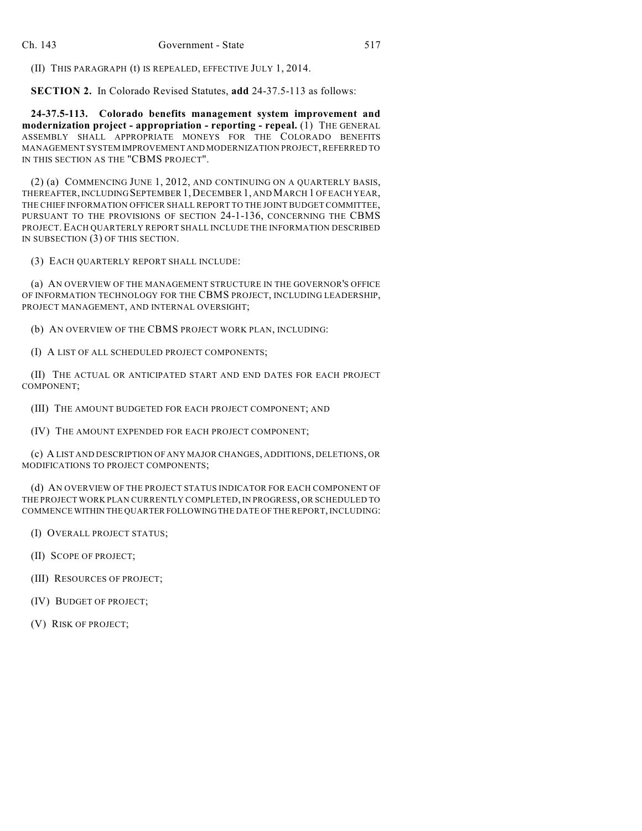(II) THIS PARAGRAPH (t) IS REPEALED, EFFECTIVE JULY 1, 2014.

**SECTION 2.** In Colorado Revised Statutes, **add** 24-37.5-113 as follows:

**24-37.5-113. Colorado benefits management system improvement and modernization project - appropriation - reporting - repeal.** (1) THE GENERAL ASSEMBLY SHALL APPROPRIATE MONEYS FOR THE COLORADO BENEFITS MANAGEMENT SYSTEM IMPROVEMENT AND MODERNIZATION PROJECT, REFERRED TO IN THIS SECTION AS THE "CBMS PROJECT".

(2) (a) COMMENCING JUNE 1, 2012, AND CONTINUING ON A QUARTERLY BASIS, THEREAFTER,INCLUDINGSEPTEMBER 1,DECEMBER 1, AND MARCH 1 OF EACH YEAR, THE CHIEF INFORMATION OFFICER SHALL REPORT TO THE JOINT BUDGET COMMITTEE, PURSUANT TO THE PROVISIONS OF SECTION 24-1-136, CONCERNING THE CBMS PROJECT. EACH QUARTERLY REPORT SHALL INCLUDE THE INFORMATION DESCRIBED IN SUBSECTION (3) OF THIS SECTION.

(3) EACH QUARTERLY REPORT SHALL INCLUDE:

(a) AN OVERVIEW OF THE MANAGEMENT STRUCTURE IN THE GOVERNOR'S OFFICE OF INFORMATION TECHNOLOGY FOR THE CBMS PROJECT, INCLUDING LEADERSHIP, PROJECT MANAGEMENT, AND INTERNAL OVERSIGHT;

(b) AN OVERVIEW OF THE CBMS PROJECT WORK PLAN, INCLUDING:

(I) A LIST OF ALL SCHEDULED PROJECT COMPONENTS;

(II) THE ACTUAL OR ANTICIPATED START AND END DATES FOR EACH PROJECT COMPONENT;

(III) THE AMOUNT BUDGETED FOR EACH PROJECT COMPONENT; AND

(IV) THE AMOUNT EXPENDED FOR EACH PROJECT COMPONENT;

(c) A LIST AND DESCRIPTION OF ANY MAJOR CHANGES, ADDITIONS, DELETIONS, OR MODIFICATIONS TO PROJECT COMPONENTS;

(d) AN OVERVIEW OF THE PROJECT STATUS INDICATOR FOR EACH COMPONENT OF THE PROJECT WORK PLAN CURRENTLY COMPLETED, IN PROGRESS, OR SCHEDULED TO COMMENCE WITHIN THE QUARTER FOLLOWING THE DATE OF THE REPORT, INCLUDING:

(I) OVERALL PROJECT STATUS;

(II) SCOPE OF PROJECT;

(III) RESOURCES OF PROJECT;

(IV) BUDGET OF PROJECT;

(V) RISK OF PROJECT;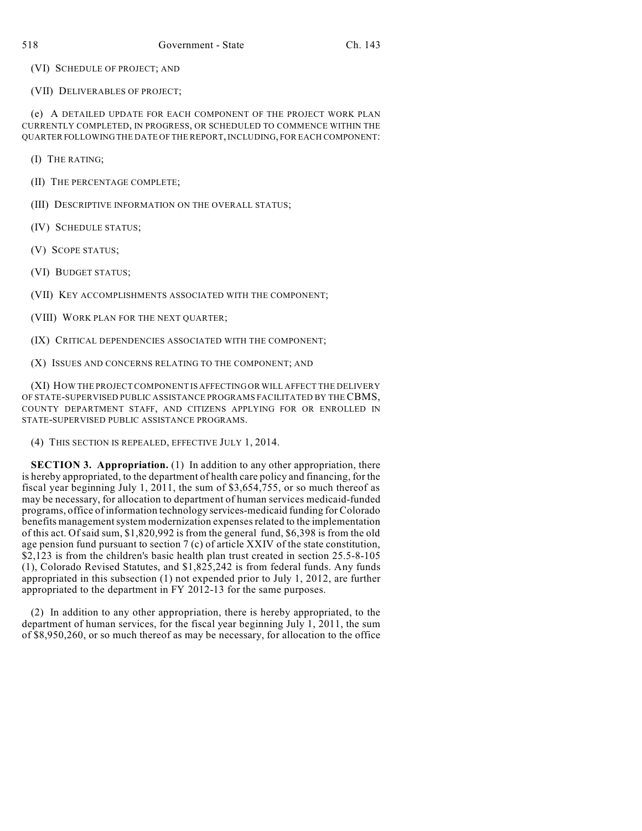(VI) SCHEDULE OF PROJECT; AND

(VII) DELIVERABLES OF PROJECT;

(e) A DETAILED UPDATE FOR EACH COMPONENT OF THE PROJECT WORK PLAN CURRENTLY COMPLETED, IN PROGRESS, OR SCHEDULED TO COMMENCE WITHIN THE QUARTER FOLLOWING THE DATE OF THE REPORT, INCLUDING, FOR EACH COMPONENT:

(I) THE RATING;

(II) THE PERCENTAGE COMPLETE;

(III) DESCRIPTIVE INFORMATION ON THE OVERALL STATUS;

(IV) SCHEDULE STATUS;

(V) SCOPE STATUS;

(VI) BUDGET STATUS;

(VII) KEY ACCOMPLISHMENTS ASSOCIATED WITH THE COMPONENT;

(VIII) WORK PLAN FOR THE NEXT QUARTER;

(IX) CRITICAL DEPENDENCIES ASSOCIATED WITH THE COMPONENT;

(X) ISSUES AND CONCERNS RELATING TO THE COMPONENT; AND

(XI) HOW THE PROJECT COMPONENT IS AFFECTING OR WILL AFFECT THE DELIVERY OF STATE-SUPERVISED PUBLIC ASSISTANCE PROGRAMS FACILITATED BY THE CBMS, COUNTY DEPARTMENT STAFF, AND CITIZENS APPLYING FOR OR ENROLLED IN STATE-SUPERVISED PUBLIC ASSISTANCE PROGRAMS.

(4) THIS SECTION IS REPEALED, EFFECTIVE JULY 1, 2014.

**SECTION 3. Appropriation.** (1) In addition to any other appropriation, there is hereby appropriated, to the department of health care policy and financing, for the fiscal year beginning July 1, 2011, the sum of \$3,654,755, or so much thereof as may be necessary, for allocation to department of human services medicaid-funded programs, office of information technology services-medicaid funding for Colorado benefits management system modernization expenses related to the implementation of this act. Of said sum, \$1,820,992 is from the general fund, \$6,398 is from the old age pension fund pursuant to section 7 (c) of article XXIV of the state constitution, \$2,123 is from the children's basic health plan trust created in section 25.5-8-105 (1), Colorado Revised Statutes, and \$1,825,242 is from federal funds. Any funds appropriated in this subsection (1) not expended prior to July 1, 2012, are further appropriated to the department in FY 2012-13 for the same purposes.

(2) In addition to any other appropriation, there is hereby appropriated, to the department of human services, for the fiscal year beginning July 1, 2011, the sum of \$8,950,260, or so much thereof as may be necessary, for allocation to the office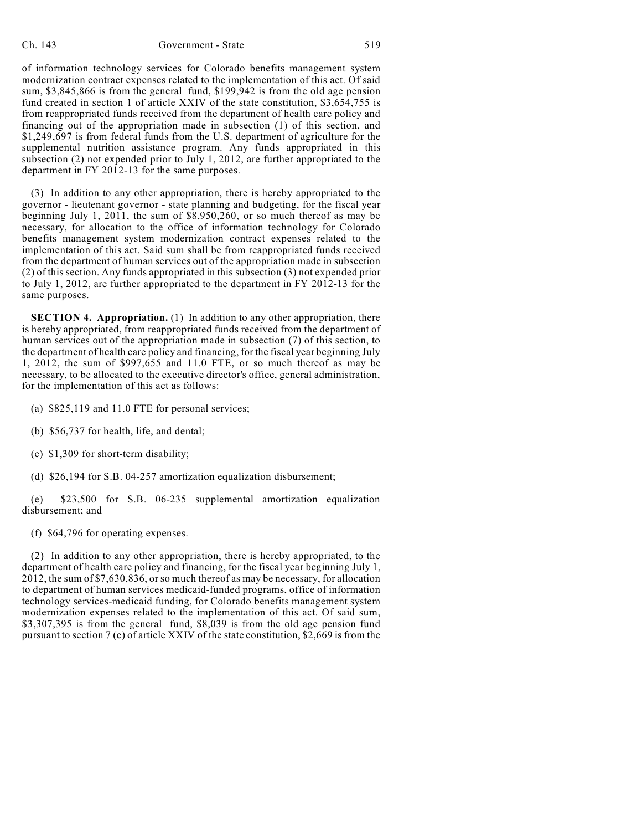of information technology services for Colorado benefits management system modernization contract expenses related to the implementation of this act. Of said sum, \$3,845,866 is from the general fund, \$199,942 is from the old age pension fund created in section 1 of article XXIV of the state constitution, \$3,654,755 is from reappropriated funds received from the department of health care policy and financing out of the appropriation made in subsection (1) of this section, and \$1,249,697 is from federal funds from the U.S. department of agriculture for the supplemental nutrition assistance program. Any funds appropriated in this subsection (2) not expended prior to July 1, 2012, are further appropriated to the department in FY 2012-13 for the same purposes.

(3) In addition to any other appropriation, there is hereby appropriated to the governor - lieutenant governor - state planning and budgeting, for the fiscal year beginning July 1, 2011, the sum of \$8,950,260, or so much thereof as may be necessary, for allocation to the office of information technology for Colorado benefits management system modernization contract expenses related to the implementation of this act. Said sum shall be from reappropriated funds received from the department of human services out of the appropriation made in subsection (2) of this section. Any funds appropriated in this subsection (3) not expended prior to July 1, 2012, are further appropriated to the department in FY 2012-13 for the same purposes.

**SECTION 4. Appropriation.** (1) In addition to any other appropriation, there is hereby appropriated, from reappropriated funds received from the department of human services out of the appropriation made in subsection (7) of this section, to the department of health care policy and financing, for the fiscal year beginning July 1, 2012, the sum of \$997,655 and 11.0 FTE, or so much thereof as may be necessary, to be allocated to the executive director's office, general administration, for the implementation of this act as follows:

- (a) \$825,119 and 11.0 FTE for personal services;
- (b) \$56,737 for health, life, and dental;
- (c) \$1,309 for short-term disability;
- (d) \$26,194 for S.B. 04-257 amortization equalization disbursement;

(e) \$23,500 for S.B. 06-235 supplemental amortization equalization disbursement; and

(f) \$64,796 for operating expenses.

(2) In addition to any other appropriation, there is hereby appropriated, to the department of health care policy and financing, for the fiscal year beginning July 1, 2012, the sum of \$7,630,836, or so much thereof as may be necessary, for allocation to department of human services medicaid-funded programs, office of information technology services-medicaid funding, for Colorado benefits management system modernization expenses related to the implementation of this act. Of said sum, \$3,307,395 is from the general fund, \$8,039 is from the old age pension fund pursuant to section 7 (c) of article XXIV of the state constitution, \$2,669 is from the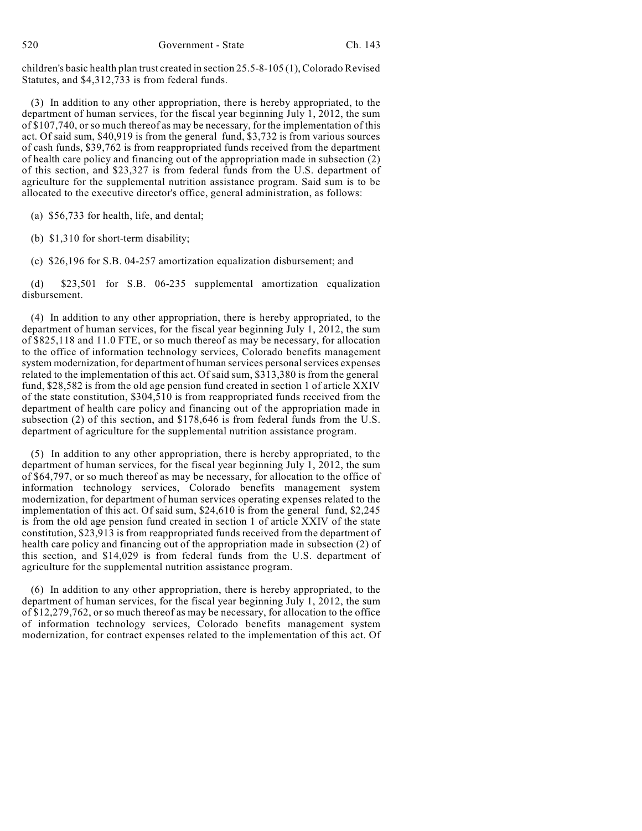children's basic health plan trust created in section 25.5-8-105 (1), Colorado Revised Statutes, and \$4,312,733 is from federal funds.

(3) In addition to any other appropriation, there is hereby appropriated, to the department of human services, for the fiscal year beginning July 1, 2012, the sum of \$107,740, or so much thereof as may be necessary, for the implementation of this act. Of said sum, \$40,919 is from the general fund, \$3,732 is from various sources of cash funds, \$39,762 is from reappropriated funds received from the department of health care policy and financing out of the appropriation made in subsection (2) of this section, and \$23,327 is from federal funds from the U.S. department of agriculture for the supplemental nutrition assistance program. Said sum is to be allocated to the executive director's office, general administration, as follows:

(a) \$56,733 for health, life, and dental;

(b) \$1,310 for short-term disability;

(c) \$26,196 for S.B. 04-257 amortization equalization disbursement; and

(d) \$23,501 for S.B. 06-235 supplemental amortization equalization disbursement.

(4) In addition to any other appropriation, there is hereby appropriated, to the department of human services, for the fiscal year beginning July 1, 2012, the sum of \$825,118 and 11.0 FTE, or so much thereof as may be necessary, for allocation to the office of information technology services, Colorado benefits management system modernization, for department of human services personal services expenses related to the implementation of this act. Of said sum, \$313,380 is from the general fund, \$28,582 is from the old age pension fund created in section 1 of article XXIV of the state constitution, \$304,510 is from reappropriated funds received from the department of health care policy and financing out of the appropriation made in subsection (2) of this section, and \$178,646 is from federal funds from the U.S. department of agriculture for the supplemental nutrition assistance program.

(5) In addition to any other appropriation, there is hereby appropriated, to the department of human services, for the fiscal year beginning July 1, 2012, the sum of \$64,797, or so much thereof as may be necessary, for allocation to the office of information technology services, Colorado benefits management system modernization, for department of human services operating expenses related to the implementation of this act. Of said sum, \$24,610 is from the general fund, \$2,245 is from the old age pension fund created in section 1 of article XXIV of the state constitution, \$23,913 is from reappropriated funds received from the department of health care policy and financing out of the appropriation made in subsection (2) of this section, and \$14,029 is from federal funds from the U.S. department of agriculture for the supplemental nutrition assistance program.

(6) In addition to any other appropriation, there is hereby appropriated, to the department of human services, for the fiscal year beginning July 1, 2012, the sum of \$12,279,762, or so much thereof as may be necessary, for allocation to the office of information technology services, Colorado benefits management system modernization, for contract expenses related to the implementation of this act. Of